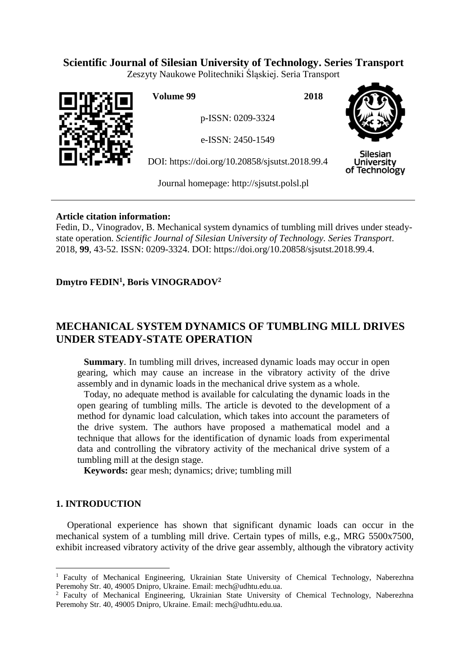# **Scientific Journal of Silesian University of Technology. Series Transport**

Zeszyty Naukowe Politechniki Śląskiej. Seria Transport



**Volume 99 2018**

p-ISSN: 0209-3324

e-ISSN: 2450-1549

DOI: https://doi.org/10.20858/sjsutst.2018.99.4



Silesian **University** of Technology

Journal homepage: [http://sjsutst.polsl.pl](http://sjsutst.polsl.pl/)

## **Article citation information:**

Fedin, D., Vinogradov, B. Mechanical system dynamics of tumbling mill drives under steadystate operation. *Scientific Journal of Silesian University of Technology. Series Transport*. 2018, **99**, 43-52. ISSN: 0209-3324. DOI: https://doi.org/10.20858/sjsutst.2018.99.4.

# **Dmytro FEDIN<sup>1</sup> , Boris VINOGRADOV<sup>2</sup>**

# **MECHANICAL SYSTEM DYNAMICS OF TUMBLING MILL DRIVES UNDER STEADY-STATE OPERATION**

**Summary**. In tumbling mill drives, increased dynamic loads may occur in open gearing, which may cause an increase in the vibratory activity of the drive assembly and in dynamic loads in the mechanical drive system as a whole.

Today, no adequate method is available for calculating the dynamic loads in the open gearing of tumbling mills. The article is devoted to the development of a method for dynamic load calculation, which takes into account the parameters of the drive system. The authors have proposed a mathematical model and a technique that allows for the identification of dynamic loads from experimental data and controlling the vibratory activity of the mechanical drive system of a tumbling mill at the design stage.

**Keywords:** gear mesh; dynamics; drive; tumbling mill

## **1. INTRODUCTION**

 $\overline{a}$ 

Operational experience has shown that significant dynamic loads can occur in the mechanical system of a tumbling mill drive. Certain types of mills, e.g., MRG 5500x7500, exhibit increased vibratory activity of the drive gear assembly, although the vibratory activity

<sup>&</sup>lt;sup>1</sup> Faculty of Mechanical Engineering, Ukrainian State University of Chemical Technology, Naberezhna Peremohy Str. 40, 49005 Dnipro, Ukraine. Email: mech@udhtu.edu.ua.

<sup>&</sup>lt;sup>2</sup> Faculty of Mechanical Engineering, Ukrainian State University of Chemical Technology, Naberezhna Peremohy Str. 40, 49005 Dnipro, Ukraine. Email: mech@udhtu.edu.ua.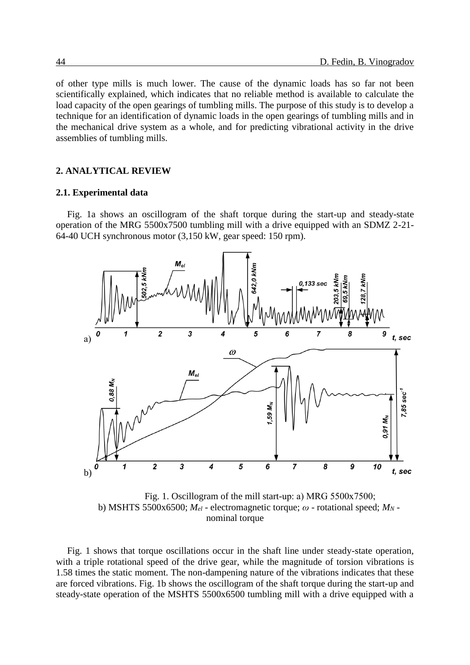of other type mills is much lower. The cause of the dynamic loads has so far not been scientifically explained, which indicates that no reliable method is available to calculate the load capacity of the open gearings of tumbling mills. The purpose of this study is to develop a technique for an identification of dynamic loads in the open gearings of tumbling mills and in the mechanical drive system as a whole, and for predicting vibrational activity in the drive assemblies of tumbling mills.

#### **2. ANALYTICAL REVIEW**

#### **2.1. Experimental data**

Fig. 1a shows an oscillogram of the shaft torque during the start-up and steady-state operation of the MRG 5500x7500 tumbling mill with a drive equipped with an SDMZ 2-21- 64-40 UCH synchronous motor (3,150 kW, gear speed: 150 rpm).



Fig. 1. Oscillogram of the mill start-up: а) МRG 5500x7500; b) MSHTS 5500x6500;  $M_{el}$  - electromagnetic torque;  $\omega$  - rotational speed;  $M_N$  nominal torque

Fig. 1 shows that torque oscillations occur in the shaft line under steady-state operation, with a triple rotational speed of the drive gear, while the magnitude of torsion vibrations is 1.58 times the static moment. The non-dampening nature of the vibrations indicates that these are forced vibrations. Fig. 1b shows the oscillogram of the shaft torque during the start-up and steady-state operation of the MSHTS 5500x6500 tumbling mill with a drive equipped with a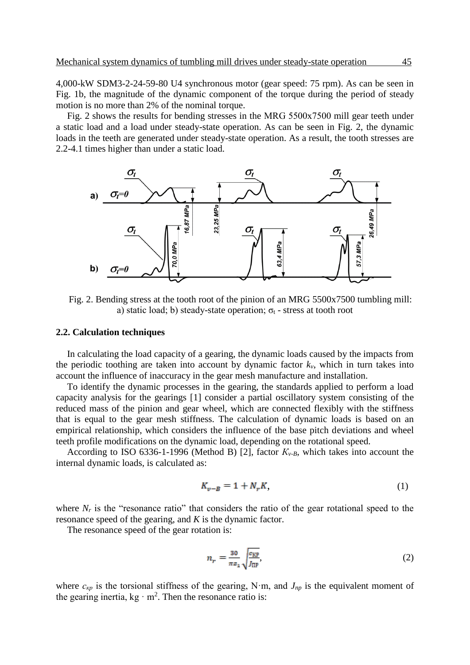4,000-kW SDM3-2-24-59-80 U4 synchronous motor (gear speed: 75 rpm). As can be seen in Fig. 1b, the magnitude of the dynamic component of the torque during the period of steady motion is no more than 2% of the nominal torque.

Fig. 2 shows the results for bending stresses in the МRG 5500x7500 mill gear teeth under a static load and a load under steady-state operation. As can be seen in Fig. 2, the dynamic loads in the teeth are generated under steady-state operation. As a result, the tooth stresses are 2.2-4.1 times higher than under a static load.



Fig. 2. Bending stress at the tooth root of the pinion of an MRG 5500x7500 tumbling mill: a) static load; b) steady-state operation;  $\sigma_t$  - stress at tooth root

#### **2.2. Calculation techniques**

In calculating the load capacity of a gearing, the dynamic loads caused by the impacts from the periodic toothing are taken into account by dynamic factor  $k<sub>v</sub>$ , which in turn takes into account the influence of inaccuracy in the gear mesh manufacture and installation.

To identify the dynamic processes in the gearing, the standards applied to perform a load capacity analysis for the gearings [1] consider a partial oscillatory system consisting of the reduced mass of the pinion and gear wheel, which are connected flexibly with the stiffness that is equal to the gear mesh stiffness. The calculation of dynamic loads is based on an empirical relationship, which considers the influence of the base pitch deviations and wheel teeth profile modifications on the dynamic load, depending on the rotational speed.

According to ISO 6336-1-1996 (Method B) [2], factor  $K_{v-B}$ , which takes into account the internal dynamic loads, is calculated as:

$$
K_{\nu-B} = 1 + N_r K,\tag{1}
$$

where  $N_r$  is the "resonance ratio" that considers the ratio of the gear rotational speed to the resonance speed of the gearing, and *K* is the dynamic factor.

The resonance speed of the gear rotation is:

$$
n_r = \frac{30}{\pi \varepsilon_1} \sqrt{\frac{c_{\text{KP}}}{J_{\text{IP}}}},\tag{2}
$$

where  $c_{kp}$  is the torsional stiffness of the gearing, N·m, and  $J_{np}$  is the equivalent moment of the gearing inertia,  $kg \cdot m^2$ . Then the resonance ratio is: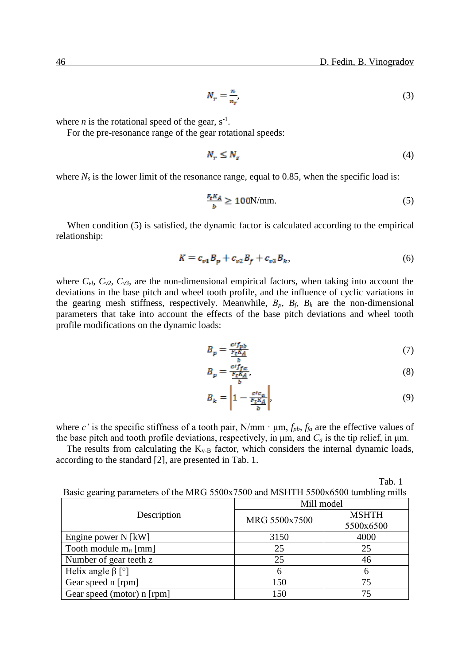$$
N_r = \frac{n}{n_r},\tag{3}
$$

where *n* is the rotational speed of the gear,  $s^{-1}$ .

For the pre-resonance range of the gear rotational speeds:

$$
N_r \le N_s \tag{4}
$$

where  $N_s$  is the lower limit of the resonance range, equal to 0.85, when the specific load is:

$$
\frac{F_t K_A}{b} \ge 100 \text{N/mm.}
$$
 (5)

When condition (5) is satisfied, the dynamic factor is calculated according to the empirical relationship:

$$
K = c_{v1}B_p + c_{v2}B_f + c_{v3}B_k,
$$
\n(6)

where  $C_{v1}$ ,  $C_{v2}$ ,  $C_{v3}$ , are the non-dimensional empirical factors, when taking into account the deviations in the base pitch and wheel tooth profile, and the influence of cyclic variations in the gearing mesh stiffness, respectively. Meanwhile,  $B_p$ ,  $B_f$ ,  $B_k$  are the non-dimensional parameters that take into account the effects of the base pitch deviations and wheel tooth profile modifications on the dynamic loads:

$$
B_p = \frac{c'f_{pb}}{\frac{r_t K_A}{b}}\tag{7}
$$

$$
B_p = \frac{c \cdot f_{f\alpha}}{\frac{F_t K_A}{b}},\tag{8}
$$

$$
B_k = \left| 1 - \frac{ctc_a}{\frac{F_t K_A}{b}} \right|,\tag{9}
$$

where *c*' is the specific stiffness of a tooth pair,  $N/mm \cdot \mu m$ ,  $f_{pb}$ ,  $f_{fa}$  are the effective values of the base pitch and tooth profile deviations, respectively, in μm, and *С<sup>а</sup>* is the tip relief, in μm.

The results from calculating the  $K_{v-B}$  factor, which considers the internal dynamic loads, according to the standard [2], are presented in Tab. 1.

|                                                                                  | Tab. 1 |
|----------------------------------------------------------------------------------|--------|
| Basic gearing parameters of the MRG 5500x7500 and MSHTH 5500x6500 tumbling mills |        |

|                            | Mill model    |              |  |  |  |
|----------------------------|---------------|--------------|--|--|--|
| Description                | MRG 5500x7500 | <b>MSHTH</b> |  |  |  |
|                            |               | 5500x6500    |  |  |  |
| Engine power N [kW]        | 3150          | 4000         |  |  |  |
| Tooth module $m_H$ [mm]    | 25            | 25           |  |  |  |
| Number of gear teeth z     | 25            | 46           |  |  |  |
| Helix angle $\beta$ [°]    | 6             | 6            |  |  |  |
| Gear speed n [rpm]         | 150           | 75           |  |  |  |
| Gear speed (motor) n [rpm] | 150           | 75           |  |  |  |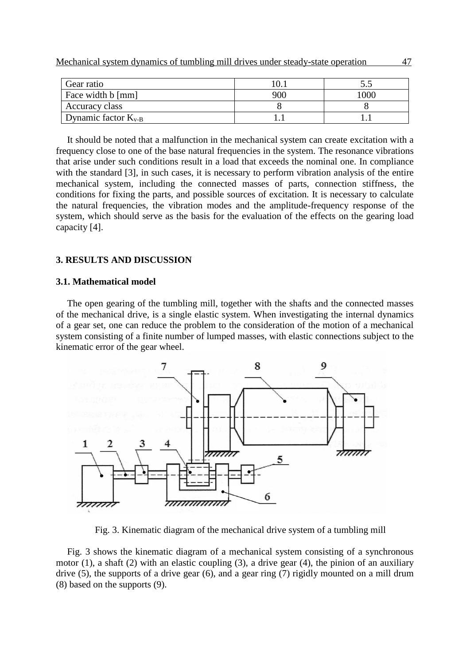| Gear ratio               |     |      |
|--------------------------|-----|------|
| Face width b [mm]        | 900 | .000 |
| Accuracy class           |     |      |
| Dynamic factor $K_{v-B}$ |     |      |

It should be noted that a malfunction in the mechanical system can create excitation with a frequency close to one of the base natural frequencies in the system. The resonance vibrations that arise under such conditions result in a load that exceeds the nominal one. In compliance with the standard [3], in such cases, it is necessary to perform vibration analysis of the entire mechanical system, including the connected masses of parts, connection stiffness, the conditions for fixing the parts, and possible sources of excitation. It is necessary to calculate the natural frequencies, the vibration modes and the amplitude-frequency response of the system, which should serve as the basis for the evaluation of the effects on the gearing load capacity [4].

#### **3. RESULTS AND DISCUSSION**

#### **3.1. Mathematical model**

The open gearing of the tumbling mill, together with the shafts and the connected masses of the mechanical drive, is a single elastic system. When investigating the internal dynamics of a gear set, one can reduce the problem to the consideration of the motion of a mechanical system consisting of a finite number of lumped masses, with elastic connections subject to the kinematic error of the gear wheel.



Fig. 3. Kinematic diagram of the mechanical drive system of a tumbling mill

Fig. 3 shows the kinematic diagram of a mechanical system consisting of a synchronous motor (1), a shaft (2) with an elastic coupling (3), a drive gear (4), the pinion of an auxiliary drive (5), the supports of a drive gear (6), and a gear ring (7) rigidly mounted on a mill drum (8) based on the supports (9).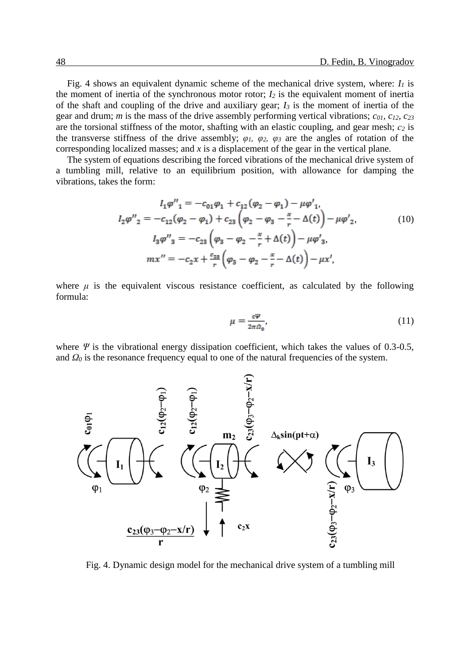Fig. 4 shows an equivalent dynamic scheme of the mechanical drive system, where: *I<sup>1</sup>* is the moment of inertia of the synchronous motor rotor;  $I_2$  is the equivalent moment of inertia of the shaft and coupling of the drive and auxiliary gear; *I<sup>3</sup>* is the moment of inertia of the gear and drum; *m* is the mass of the drive assembly performing vertical vibrations; *c01, c12, c<sup>23</sup>* are the torsional stiffness of the motor, shafting with an elastic coupling, and gear mesh; *с<sup>2</sup>* is the transverse stiffness of the drive assembly;  $\varphi_1$ ,  $\varphi_2$ ,  $\varphi_3$  are the angles of rotation of the corresponding localized masses; and *x* is a displacement of the gear in the vertical plane.

The system of equations describing the forced vibrations of the mechanical drive system of a tumbling mill, relative to an equilibrium position, with allowance for damping the vibrations, takes the form:

$$
I_{1}\varphi''_{1} = -c_{01}\varphi_{1} + c_{12}(\varphi_{2} - \varphi_{1}) - \mu\varphi'_{1},
$$
  
\n
$$
I_{2}\varphi''_{2} = -c_{12}(\varphi_{2} - \varphi_{1}) + c_{23}(\varphi_{2} - \varphi_{3} - \frac{x}{r} - \Delta(t)) - \mu\varphi'_{2},
$$
  
\n
$$
I_{3}\varphi''_{3} = -c_{23}(\varphi_{3} - \varphi_{2} - \frac{x}{r} + \Delta(t)) - \mu\varphi'_{3},
$$
  
\n
$$
mx'' = -c_{2}x + \frac{c_{23}}{r}(\varphi_{3} - \varphi_{2} - \frac{x}{r} - \Delta(t)) - \mu x',
$$
\n(10)

where  $\mu$  is the equivalent viscous resistance coefficient, as calculated by the following formula:

$$
\mu = \frac{c\Psi}{2\pi\Omega_0},\tag{11}
$$

where *Ψ* is the vibrational energy dissipation coefficient, which takes the values of 0.3-0.5, and  $Q_0$  is the resonance frequency equal to one of the natural frequencies of the system.



Fig. 4. Dynamic design model for the mechanical drive system of a tumbling mill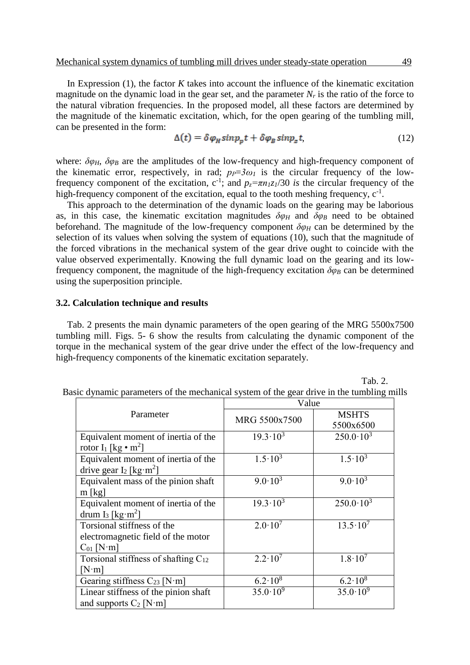In Expression (1), the factor *K* takes into account the influence of the kinematic excitation magnitude on the dynamic load in the gear set, and the parameter  $N_r$  is the ratio of the force to the natural vibration frequencies. In the proposed model, all these factors are determined by the magnitude of the kinematic excitation, which, for the open gearing of the tumbling mill, can be presented in the form:

$$
\Delta(t) = \delta \varphi_H \sin p_p t + \delta \varphi_B \sin p_z t,\tag{12}
$$

where:  $\delta \varphi_H$ ,  $\delta \varphi_B$  are the amplitudes of the low-frequency and high-frequency component of the kinematic error, respectively, in rad;  $p_P = 3\omega_I$  is the circular frequency of the lowfrequency component of the excitation,  $c^{-1}$ ; and  $p_z = \pi n_l z_l/30$  *is* the circular frequency of the high-frequency component of the excitation, equal to the tooth meshing frequency,  $c^{-1}$ .

This approach to the determination of the dynamic loads on the gearing may be laborious as, in this case, the kinematic excitation magnitudes  $\delta \varphi_H$  and  $\delta \varphi_B$  need to be obtained beforehand. The magnitude of the low-frequency component  $\delta \varphi_H$  can be determined by the selection of its values when solving the system of equations (10), such that the magnitude of the forced vibrations in the mechanical system of the gear drive ought to coincide with the value observed experimentally. Knowing the full dynamic load on the gearing and its lowfrequency component, the magnitude of the high-frequency excitation  $\delta\varphi_B$  can be determined using the superposition principle.

#### **3.2. Calculation technique and results**

Tab. 2 presents the main dynamic parameters of the open gearing of the MRG 5500x7500 tumbling mill. Figs. 5- 6 show the results from calculating the dynamic component of the torque in the mechanical system of the gear drive under the effect of the low-frequency and high-frequency components of the kinematic excitation separately.

Tab. 2.

|  |  | Basic dynamic parameters of the mechanical system of the gear drive in the tumbling mills |  |  |  |  |
|--|--|-------------------------------------------------------------------------------------------|--|--|--|--|
|  |  |                                                                                           |  |  |  |  |

|                                                                                    | Value               |                           |  |  |  |  |
|------------------------------------------------------------------------------------|---------------------|---------------------------|--|--|--|--|
| Parameter                                                                          | MRG 5500x7500       | <b>MSHTS</b><br>5500x6500 |  |  |  |  |
| Equivalent moment of inertia of the<br>rotor $I_1$ [kg • m <sup>2</sup> ]          | $19.3 \cdot 10^3$   | $250.0 \cdot 10^3$        |  |  |  |  |
| Equivalent moment of inertia of the<br>drive gear $I_2$ [kg·m <sup>2</sup> ]       | $1.5 \cdot 10^3$    | $1.5 \cdot 10^3$          |  |  |  |  |
| Equivalent mass of the pinion shaft<br>$m$ [kg]                                    | $9.0 \cdot 10^3$    | $9.0 \cdot 10^3$          |  |  |  |  |
| Equivalent moment of inertia of the<br>drum I <sub>3</sub> [kg·m <sup>2</sup> ]    | $19.3 \cdot 10^3$   | $250.0 \cdot 10^3$        |  |  |  |  |
| Torsional stiffness of the<br>electromagnetic field of the motor<br>$C_{01}$ [N·m] | $2.0 \cdot 10^7$    | $13.5 \cdot 10^7$         |  |  |  |  |
| Torsional stiffness of shafting $C_{12}$<br>$[N \cdot m]$                          | $2.2 \cdot 10^7$    | $1.8 \cdot 10^{7}$        |  |  |  |  |
| Gearing stiffness $C_{23}$ [N·m]                                                   | $6.2 \cdot 10^{8}$  | $6.2 \cdot 10^8$          |  |  |  |  |
| Linear stiffness of the pinion shaft<br>and supports $C_2$ [N·m]                   | $35.0 \cdot 10^{9}$ | $35.0 \cdot 10^{9}$       |  |  |  |  |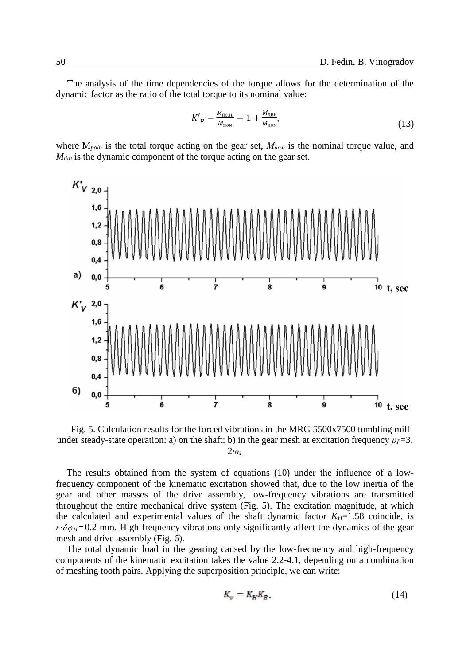The analysis of the time dependencies of the torque allows for the determination of the dynamic factor as the ratio of the total torque to its nominal value:

$$
K'_{\nu} = \frac{M_{\text{nom}}}{M_{\text{nom}}} = 1 + \frac{M_{\text{atm}}}{M_{\text{nom}}},\tag{13}
$$

where M*poln* is the total torque acting on the gear set, *Мном* is the nominal torque value, and *Mdin* is the dynamic component of the torque acting on the gear set.



Fig. 5. Calculation results for the forced vibrations in the MRG 5500x7500 tumbling mill under steady-state operation: a) on the shaft; b) in the gear mesh at excitation frequency  $p_P = 3$ . 2*ω<sup>1</sup>*

The results obtained from the system of equations (10) under the influence of a lowfrequency component of the kinematic excitation showed that, due to the low inertia of the gear and other masses of the drive assembly, low-frequency vibrations are transmitted throughout the entire mechanical drive system (Fig. 5). The excitation magnitude, at which the calculated and experimental values of the shaft dynamic factor  $K_H$ =1.58 coincide, is  $r \cdot \delta \varphi_H = 0.2$  mm. High-frequency vibrations only significantly affect the dynamics of the gear mesh and drive assembly (Fig. 6).

The total dynamic load in the gearing caused by the low-frequency and high-frequency components of the kinematic excitation takes the value 2.2-4.1, depending on a combination of meshing tooth pairs. Applying the superposition principle, we can write:

$$
K_v = K_H K_B,\tag{14}
$$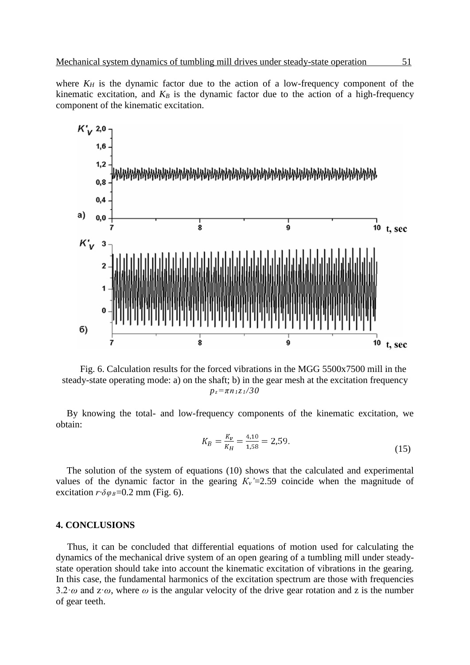where  $K_H$  is the dynamic factor due to the action of a low-frequency component of the kinematic excitation, and  $K_B$  is the dynamic factor due to the action of a high-frequency component of the kinematic excitation.





By knowing the total- and low-frequency components of the kinematic excitation, we obtain:

$$
K_B = \frac{K_v}{K_H} = \frac{4,10}{1,58} = 2,59. \tag{15}
$$

The solution of the system of equations (10) shows that the calculated and experimental values of the dynamic factor in the gearing  $K_v = 2.59$  coincide when the magnitude of excitation  $r \cdot \delta \varphi_B = 0.2$  mm (Fig. 6).

#### **4. CONCLUSIONS**

Thus, it can be concluded that differential equations of motion used for calculating the dynamics of the mechanical drive system of an open gearing of a tumbling mill under steadystate operation should take into account the kinematic excitation of vibrations in the gearing. In this case, the fundamental harmonics of the excitation spectrum are those with frequencies 3.2*·ω* and z·*ω*, where *ω* is the angular velocity of the drive gear rotation and z is the number of gear teeth.